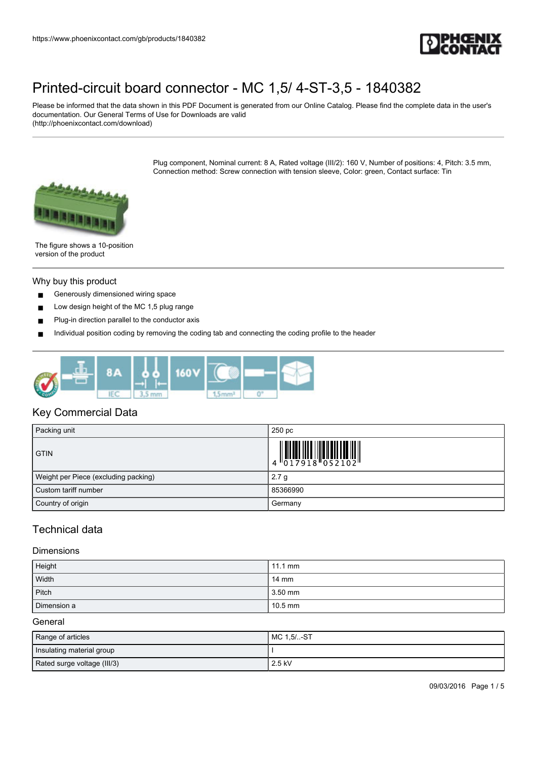

Please be informed that the data shown in this PDF Document is generated from our Online Catalog. Please find the complete data in the user's documentation. Our General Terms of Use for Downloads are valid (http://phoenixcontact.com/download)

> Plug component, Nominal current: 8 A, Rated voltage (III/2): 160 V, Number of positions: 4, Pitch: 3.5 mm, Connection method: Screw connection with tension sleeve, Color: green, Contact surface: Tin



The figure shows a 10-position version of the product

#### Why buy this product

- Generously dimensioned wiring space
- Low design height of the MC 1,5 plug range
- Plug-in direction parallel to the conductor axis
- Individual position coding by removing the coding tab and connecting the coding profile to the header



### Key Commercial Data

| Packing unit                         | 250 pc                                                                                                                                                                                                                                                                                                                   |
|--------------------------------------|--------------------------------------------------------------------------------------------------------------------------------------------------------------------------------------------------------------------------------------------------------------------------------------------------------------------------|
| <b>GTIN</b>                          | $\begin{array}{c} 1 & 0 & 0 & 0 & 0 \\ 0 & 0 & 1 & 7 & 9 & 1 & 8 \\ 0 & 0 & 0 & 0 & 1 & 8 \\ 0 & 0 & 0 & 0 & 0 & 1 & 8 \\ 0 & 0 & 0 & 0 & 0 & 0 & 0 \\ 0 & 0 & 0 & 0 & 0 & 0 & 0 \\ 0 & 0 & 0 & 0 & 0 & 0 & 0 \\ 0 & 0 & 0 & 0 & 0 & 0 & 0 & 0 \\ 0 & 0 & 0 & 0 & 0 & 0 & 0 & 0 \\ 0 & 0 & 0 & 0 & 0 & 0 & 0 & 0 \\ 0 &$ |
| Weight per Piece (excluding packing) | 2.7 <sub>g</sub>                                                                                                                                                                                                                                                                                                         |
| Custom tariff number                 | 85366990                                                                                                                                                                                                                                                                                                                 |
| Country of origin                    | Germany                                                                                                                                                                                                                                                                                                                  |

## Technical data

#### Dimensions

| Height      | $11.1 \text{ mm}$ |
|-------------|-------------------|
| Width       | $14 \text{ mm}$   |
| Pitch       | 3.50 mm           |
| Dimension a | $10.5$ mm         |

#### General

| Range of articles           | MC 1,5/-ST |
|-----------------------------|------------|
| Insulating material group   |            |
| Rated surge voltage (III/3) | 2.5 kV     |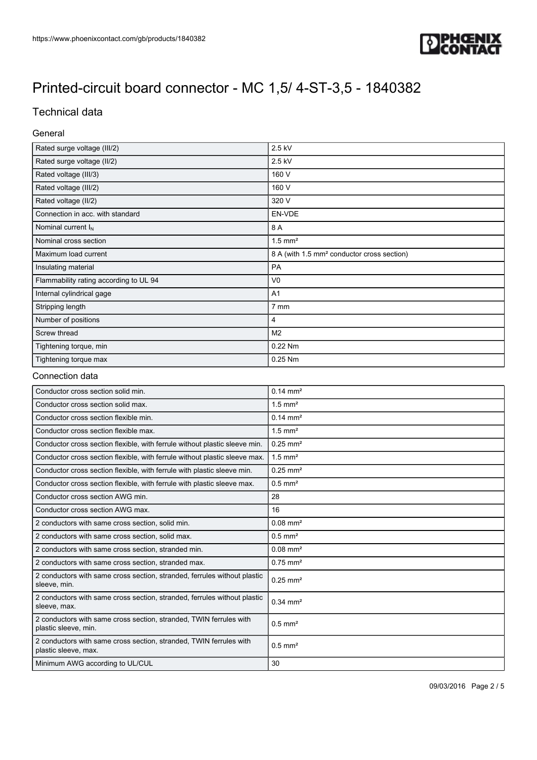

# Technical data

### General

| Rated surge voltage (III/2)            | 2.5 kV                                                 |
|----------------------------------------|--------------------------------------------------------|
| Rated surge voltage (II/2)             | 2.5 kV                                                 |
| Rated voltage (III/3)                  | 160 V                                                  |
| Rated voltage (III/2)                  | 160 V                                                  |
| Rated voltage (II/2)                   | 320 V                                                  |
| Connection in acc. with standard       | EN-VDE                                                 |
| Nominal current $I_N$                  | 8 A                                                    |
| Nominal cross section                  | $1.5$ mm <sup>2</sup>                                  |
| Maximum load current                   | 8 A (with 1.5 mm <sup>2</sup> conductor cross section) |
| Insulating material                    | PA                                                     |
| Flammability rating according to UL 94 | V <sub>0</sub>                                         |
| Internal cylindrical gage              | A <sub>1</sub>                                         |
| Stripping length                       | 7 mm                                                   |
| Number of positions                    | 4                                                      |
| Screw thread                           | M <sub>2</sub>                                         |
| Tightening torque, min                 | 0.22 Nm                                                |
| Tightening torque max                  | 0.25 Nm                                                |

### Connection data

| Conductor cross section solid min.                                                         | $0.14 \, \text{mm}^2$  |
|--------------------------------------------------------------------------------------------|------------------------|
| Conductor cross section solid max.                                                         | $1.5$ mm <sup>2</sup>  |
| Conductor cross section flexible min.                                                      | $0.14 \, \text{mm}^2$  |
| Conductor cross section flexible max.                                                      | $1.5$ mm <sup>2</sup>  |
| Conductor cross section flexible, with ferrule without plastic sleeve min.                 | $0.25$ mm <sup>2</sup> |
| Conductor cross section flexible, with ferrule without plastic sleeve max.                 | $1.5$ mm <sup>2</sup>  |
| Conductor cross section flexible, with ferrule with plastic sleeve min.                    | $0.25$ mm <sup>2</sup> |
| Conductor cross section flexible, with ferrule with plastic sleeve max.                    | $0.5$ mm <sup>2</sup>  |
| Conductor cross section AWG min.                                                           | 28                     |
| Conductor cross section AWG max.                                                           | 16                     |
| 2 conductors with same cross section, solid min.                                           | $0.08$ mm <sup>2</sup> |
| 2 conductors with same cross section, solid max.                                           | $0.5$ mm <sup>2</sup>  |
| 2 conductors with same cross section, stranded min.                                        | $0.08$ mm <sup>2</sup> |
| 2 conductors with same cross section, stranded max.                                        | $0.75$ mm <sup>2</sup> |
| 2 conductors with same cross section, stranded, ferrules without plastic<br>sleeve, min.   | $0.25$ mm <sup>2</sup> |
| 2 conductors with same cross section, stranded, ferrules without plastic<br>sleeve, max.   | $0.34 \, \text{mm}^2$  |
| 2 conductors with same cross section, stranded, TWIN ferrules with<br>plastic sleeve, min. | $0.5$ mm <sup>2</sup>  |
| 2 conductors with same cross section, stranded, TWIN ferrules with<br>plastic sleeve, max. | $0.5$ mm <sup>2</sup>  |
| Minimum AWG according to UL/CUL                                                            | 30                     |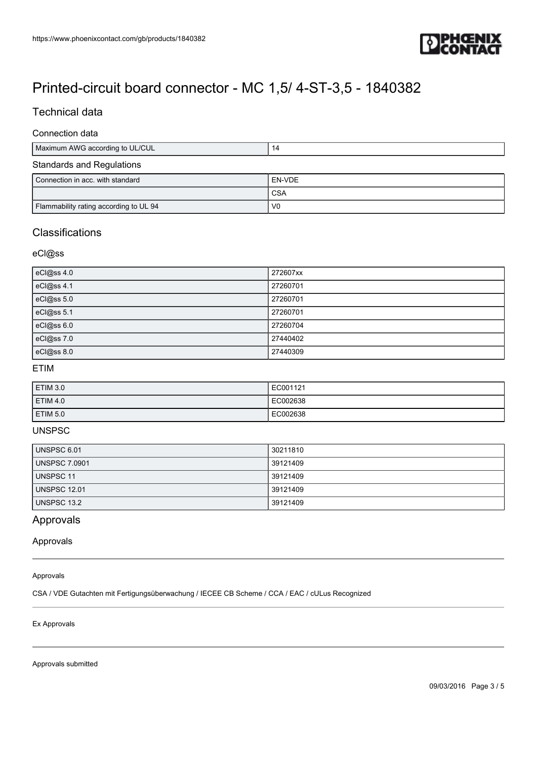

## Technical data

### Connection data

| Maximum AWG according to UL/CUL  |  |
|----------------------------------|--|
| <b>Standards and Regulations</b> |  |

# Connection in acc. with standard EN-VDE **CSA** Flammability rating according to UL 94 V0

## **Classifications**

eCl@ss

| eCl@ss 4.0 | 272607xx |
|------------|----------|
| eCl@ss 4.1 | 27260701 |
| eCl@ss 5.0 | 27260701 |
| eCl@ss 5.1 | 27260701 |
| eCl@ss 6.0 | 27260704 |
| eCl@ss 7.0 | 27440402 |
| eCl@ss 8.0 | 27440309 |

### ETIM

| ETIM 3.0 | EC001121 |
|----------|----------|
| ETIM 4.0 | EC002638 |
| ETIM 5.0 | EC002638 |

## UNSPSC

| UNSPSC 6.01          | 30211810 |
|----------------------|----------|
| <b>UNSPSC 7.0901</b> | 39121409 |
| UNSPSC 11            | 39121409 |
| <b>UNSPSC 12.01</b>  | 39121409 |
| <b>UNSPSC 13.2</b>   | 39121409 |

## Approvals

Approvals

#### Approvals

CSA / VDE Gutachten mit Fertigungsüberwachung / IECEE CB Scheme / CCA / EAC / cULus Recognized

#### Ex Approvals

Approvals submitted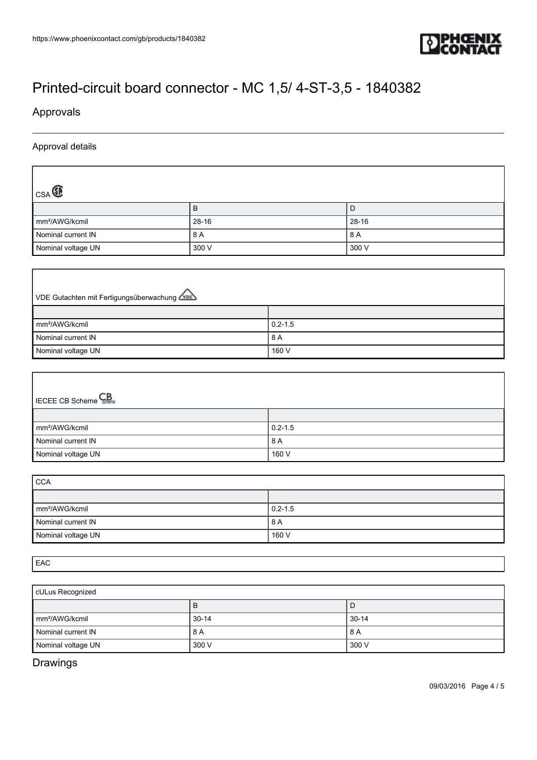

# Approvals

 $\lceil$ 

Ш

## Approval details

| $_{CSA}$                   |           |       |
|----------------------------|-----------|-------|
|                            | в         | D     |
| mm <sup>2</sup> /AWG/kcmil | $28 - 16$ | 28-16 |
| Nominal current IN         | 8 A       | 8 A   |
| Nominal voltage UN         | 300 V     | 300 V |

| VDE Gutachten mit Fertigungsüberwachung |             |
|-----------------------------------------|-------------|
|                                         |             |
| mm <sup>2</sup> /AWG/kcmil              | $0.2 - 1.5$ |
| Nominal current IN                      | 8 A         |
| Nominal voltage UN                      | 160 V       |

| <b>IECEE CB Scheme</b>     |             |
|----------------------------|-------------|
|                            |             |
| mm <sup>2</sup> /AWG/kcmil | $0.2 - 1.5$ |
| Nominal current IN         | 8 A         |
| Nominal voltage UN         | 160 V       |

| <b>CCA</b>                 |             |  |
|----------------------------|-------------|--|
|                            |             |  |
| mm <sup>2</sup> /AWG/kcmil | $0.2 - 1.5$ |  |
| Nominal current IN         | 8 A         |  |
| Nominal voltage UN         | 160 V       |  |

EAC

| cULus Recognized           |         |         |
|----------------------------|---------|---------|
|                            | в       | L       |
| mm <sup>2</sup> /AWG/kcmil | $30-14$ | $30-14$ |
| Nominal current IN         | 8 A     | 8 A     |
| Nominal voltage UN         | 300 V   | 300 V   |

Drawings